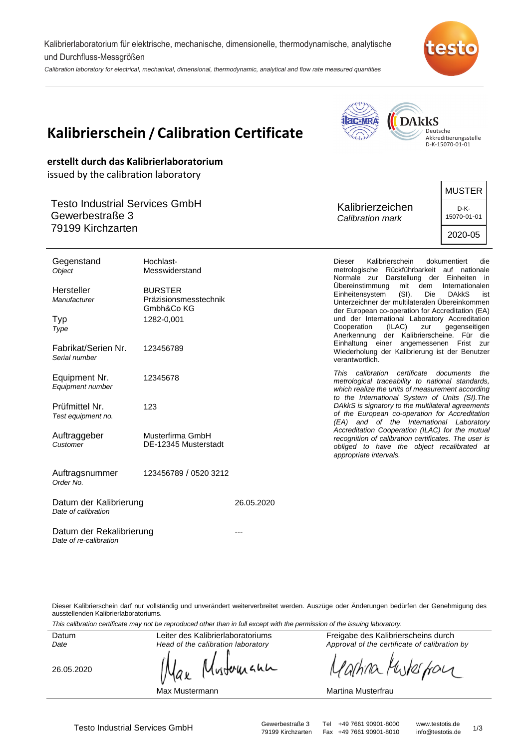Kalibrierlaboratorium für elektrische, mechanische, dimensionelle, thermodynamische, analytische und Durchfluss-Messgrößen

Calibration laboratory for electrical, mechanical, dimensional, thermodynamic, analytical and flow rate measured quantities





Dieser Kalibrierschein darf nur vollständig und unverändert weiterverbreitet werden. Auszüge oder Änderungen bedürfen der Genehmigung des ausstellenden Kalibrierlaboratoriums.

This calibration certificate may not be reproduced other than in full except with the permission of the issuing laboratory.

**Datum** Date

Leiter des Kalibrierlaboratoriums Head of the calibration laboratory

26.05.2020

witcherache

Max Mustermann

Freigabe des Kalibrierscheins durch Approval of the certificate of calibration by

arhina Muter four

Martina Musterfrau

Testo Industrial Services GmbH<br>
79199 Kirchzarten Fax +49 7661 90901-8010 info@testotis.de 1/3 Fax +49 7661 90901-8010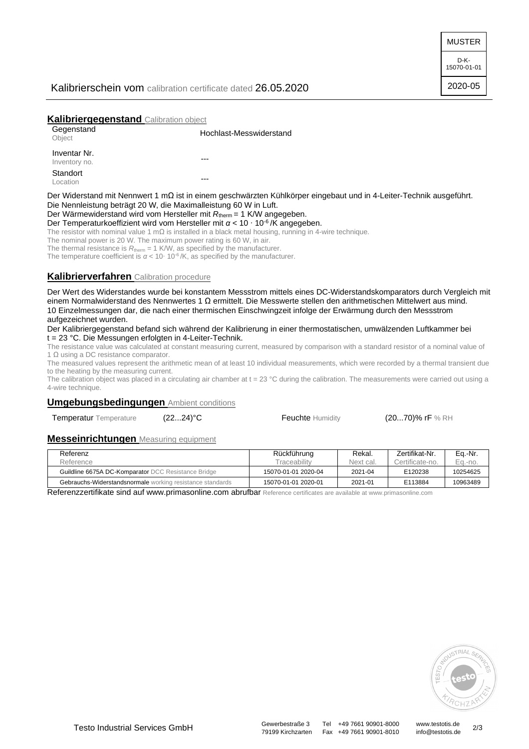MUSTER

D-K-15070-01-01 2020-05

### Kalibrierschein vom calibration certificate dated 26.05.2020

### **Kalibriergegenstand** Calibration object

| Gegenstand<br>Object          | Hochlast-Messwiderstand                                                                                             |
|-------------------------------|---------------------------------------------------------------------------------------------------------------------|
| Inventar Nr.<br>Inventory no. | ---                                                                                                                 |
| Standort<br>Location          | ---                                                                                                                 |
|                               | Der Widerstand mit Nennwert 1 mΩ ist in einem geschwärzten Kühlkörper eingebaut und in 4-Leiter-Technik ausgeführt. |

Die Nennleistung beträgt 20 W, die Maximalleistung 60 W in Luft.

Der Wärmewiderstand wird vom Hersteller mit  $R_{therm}$  = 1 K/W angegeben.

Der Temperaturkoeffizient wird vom Hersteller mit *α* < 10 ⋅ 10<sup>-6</sup>/K angegeben.

The resistor with nominal value 1 m $\Omega$  is installed in a black metal housing, running in 4-wire technique.

The nominal power is 20 W. The maximum power rating is 60 W, in air.

The thermal resistance is  $R_{\text{therm}} = 1$  K/W, as specified by the manufacturer.

The temperature coefficient is  $\alpha$  < 10⋅ 10<sup>-6</sup>/K, as specified by the manufacturer.

## **Kalibrierverfahren** Calibration procedure

Der Wert des Widerstandes wurde bei konstantem Messstrom mittels eines DC-Widerstandskomparators durch Vergleich mit einem Normalwiderstand des Nennwertes 1 Ω ermittelt. Die Messwerte stellen den arithmetischen Mittelwert aus mind. 10 Einzelmessungen dar, die nach einer thermischen Einschwingzeit infolge der Erwärmung durch den Messstrom aufgezeichnet wurden.

Der Kalibriergegenstand befand sich während der Kalibrierung in einer thermostatischen, umwälzenden Luftkammer bei t = 23 °C. Die Messungen erfolgten in 4-Leiter-Technik.

The resistance value was calculated at constant measuring current, measured by comparison with a standard resistor of a nominal value of 1 Ω using a DC resistance comparator.

The measured values represent the arithmetic mean of at least 10 individual measurements, which were recorded by a thermal transient due to the heating by the measuring current.

The calibration object was placed in a circulating air chamber at  $t = 23$  °C during the calibration. The measurements were carried out using a 4-wire technique.

### **Umgebungsbedingungen** Ambient conditions

Temperatur Temperature (22...24)°C Feuchte Humidity (20...70)% rF % RH

#### **Messeinrichtungen** Measuring equipment

| Referenz                                                  | Rückführung         | Rekal.    | Zertifikat-Nr.  | Eq.-Nr.  |
|-----------------------------------------------------------|---------------------|-----------|-----------------|----------|
| Reference                                                 | Traceability        | Next cal. | Certificate-no. | Ea.-no.  |
| Guildline 6675A DC-Komparator DCC Resistance Bridge       | 15070-01-01 2020-04 | 2021-04   | E120238         | 10254625 |
| Gebrauchs-Widerstandsnormale working resistance standards | 15070-01-01 2020-01 | 2021-01   | E113884         | 10963489 |

Referenzzertifikate sind auf www.primasonline.com abrufbar Reference certificates are available at www.primasonline.com



79199 Kirchzarten Fax +49 7661 90901-8010